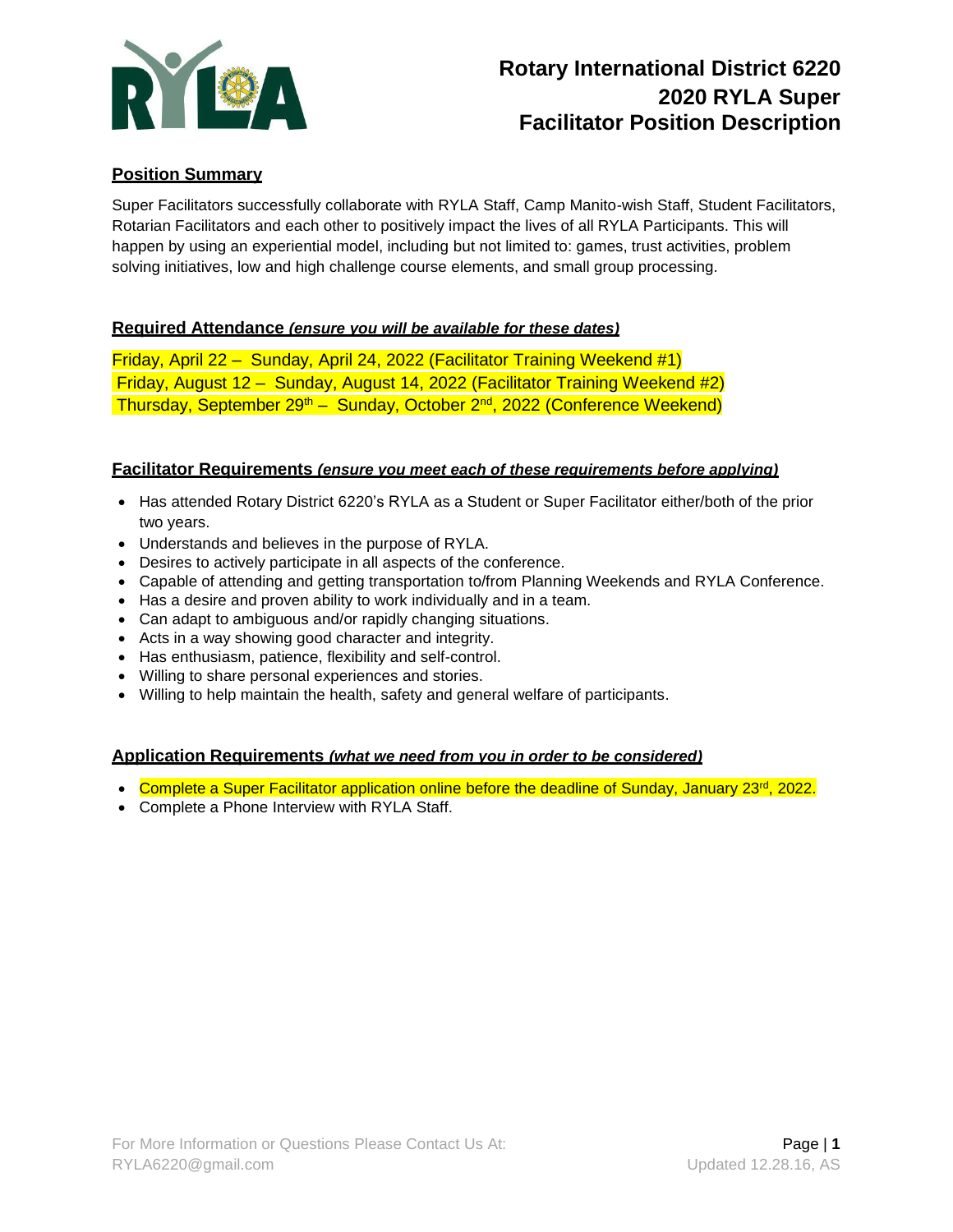

# **Rotary International District 6220 2020 RYLA Super Facilitator Position Description**

# **Position Summary**

Super Facilitators successfully collaborate with RYLA Staff, Camp Manito-wish Staff, Student Facilitators, Rotarian Facilitators and each other to positively impact the lives of all RYLA Participants. This will happen by using an experiential model, including but not limited to: games, trust activities, problem solving initiatives, low and high challenge course elements, and small group processing.

## **Required Attendance** *(ensure you will be available for these dates)*

Friday, April 22 – Sunday, April 24, 2022 (Facilitator Training Weekend #1) Friday, August 12 – Sunday, August 14, 2022 (Facilitator Training Weekend #2) Thursday, September 29<sup>th</sup> – Sunday, October 2<sup>nd</sup>, 2022 (Conference Weekend)

#### **Facilitator Requirements** *(ensure you meet each of these requirements before applying)*

- Has attended Rotary District 6220's RYLA as a Student or Super Facilitator either/both of the prior two years.
- Understands and believes in the purpose of RYLA.
- Desires to actively participate in all aspects of the conference.
- Capable of attending and getting transportation to/from Planning Weekends and RYLA Conference.
- Has a desire and proven ability to work individually and in a team.
- Can adapt to ambiguous and/or rapidly changing situations.
- Acts in a way showing good character and integrity.
- Has enthusiasm, patience, flexibility and self-control.
- Willing to share personal experiences and stories.
- Willing to help maintain the health, safety and general welfare of participants.

#### **Application Requirements** *(what we need from you in order to be considered)*

- Complete a Super Facilitator application online before the deadline of Sunday, January 23<sup>rd</sup>, 2022.
- Complete a Phone Interview with RYLA Staff.